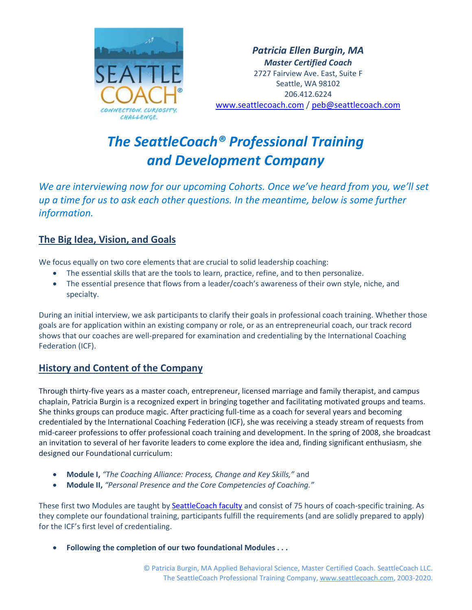

*Patricia Ellen Burgin, MA Master Certified Coach* 2727 Fairview Ave. East, Suite F Seattle, WA 98102 206.412.6224 [www.seattlecoach.com](http://www.seattlecoach.com/) / [peb@seattlecoach.com](mailto:peb@seattlecoach.com)

# *The SeattleCoach® Professional Training and Development Company*

*We are interviewing now for our upcoming Cohorts. Once we've heard from you, we'll set up a time for us to ask each other questions. In the meantime, below is some further information.*

## **The Big Idea, Vision, and Goals**

We focus equally on two core elements that are crucial to solid leadership coaching:

- The essential skills that are the tools to learn, practice, refine, and to then personalize.
- The essential presence that flows from a leader/coach's awareness of their own style, niche, and specialty.

During an initial interview, we ask participants to clarify their goals in professional coach training. Whether those goals are for application within an existing company or role, or as an entrepreneurial coach, our track record shows that our coaches are well-prepared for examination and credentialing by the International Coaching Federation (ICF).

## **History and Content of the Company**

Through thirty-five years as a master coach, entrepreneur, licensed marriage and family therapist, and campus chaplain, Patricia Burgin is a recognized expert in bringing together and facilitating motivated groups and teams. She thinks groups can produce magic. After practicing full-time as a coach for several years and becoming credentialed by the International Coaching Federation (ICF), she was receiving a steady stream of requests from mid-career professions to offer professional coach training and development. In the spring of 2008, she broadcast an invitation to several of her favorite leaders to come explore the idea and, finding significant enthusiasm, she designed our Foundational curriculum:

- **Module I,** *"The Coaching Alliance: Process, Change and Key Skills,"* and
- **Module II,** *"Personal Presence and the Core Competencies of Coaching."*

These first two Modules are taught by [SeattleCoach faculty](http://www.seattlecoach.com/the-seattlecoach-faculty.html) and consist of 75 hours of coach-specific training. As they complete our foundational training, participants fulfill the requirements (and are solidly prepared to apply) for the ICF's first level of credentialing.

• **Following the completion of our two foundational Modules . . .**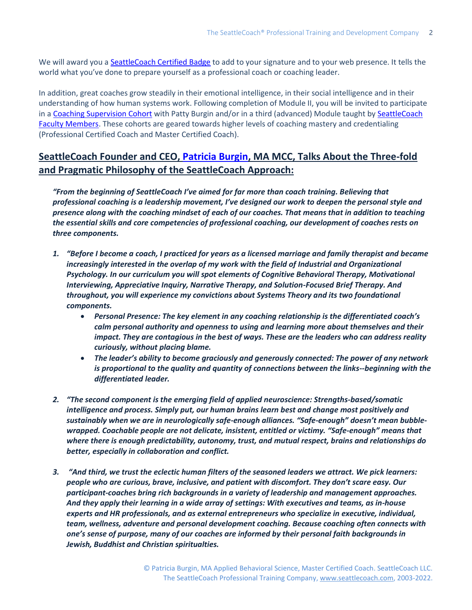We will award you a [SeattleCoach Certified Badge](https://www.seattlecoach.com/seattlecoach-certified.html) to add to your signature and to your web presence. It tells the world what you've done to prepare yourself as a professional coach or coaching leader.

In addition, great coaches grow steadily in their emotional intelligence, in their social intelligence and in their understanding of how human systems work. Following completion of Module II, you will be invited to participate in a [Coaching Supervision Cohort](https://www.seattlecoach.com/supervision-cohorts-with-patty.html) with Patty Burgin and/or in a third (advanced) Module taught by SeattleCoach [Faculty Members.](https://www.seattlecoach.com/the-seattlecoach-faculty.html) These cohorts are geared towards higher levels of coaching mastery and credentialing (Professional Certified Coach and Master Certified Coach).

## **SeattleCoach Founder and CEO, [Patricia Burgin,](https://www.seattlecoach.com/about-patricia-burgin.html) MA MCC, Talks About the Three-fold and Pragmatic Philosophy of the SeattleCoach Approach:**

*"From the beginning of SeattleCoach I've aimed for far more than coach training. Believing that professional coaching is a leadership movement, I've designed our work to deepen the personal style and presence along with the coaching mindset of each of our coaches. That means that in addition to teaching the essential skills and core competencies of professional coaching, our development of coaches rests on three components.*

- *1. "Before I become a coach, I practiced for years as a licensed marriage and family therapist and became increasingly interested in the overlap of my work with the field of Industrial and Organizational Psychology. In our curriculum you will spot elements of Cognitive Behavioral Therapy, Motivational Interviewing, Appreciative Inquiry, Narrative Therapy, and Solution-Focused Brief Therapy. And throughout, you will experience my convictions about Systems Theory and its two foundational components.*
	- *Personal Presence: The key element in any coaching relationship is the differentiated coach's calm personal authority and openness to using and learning more about themselves and their impact. They are contagious in the best of ways. These are the leaders who can address reality curiously, without placing blame.*
	- *The leader's ability to become graciously and generously connected: The power of any network is proportional to the quality and quantity of connections between the links--beginning with the differentiated leader.*
- *2. "The second component is the emerging field of applied neuroscience: Strengths-based/somatic intelligence and process. Simply put, our human brains learn best and change most positively and sustainably when we are in neurologically safe-enough alliances. "Safe-enough" doesn't mean bubblewrapped. Coachable people are not delicate, insistent, entitled or victimy. "Safe-enough" means that where there is enough predictability, autonomy, trust, and mutual respect, brains and relationships do better, especially in collaboration and conflict.*
- *3. "And third, we trust the eclectic human filters of the seasoned leaders we attract. We pick learners: people who are curious, brave, inclusive, and patient with discomfort. They don't scare easy. Our participant-coaches bring rich backgrounds in a variety of leadership and management approaches. And they apply their learning in a wide array of settings: With executives and teams, as in-house experts and HR professionals, and as external entrepreneurs who specialize in executive, individual, team, wellness, adventure and personal development coaching. Because coaching often connects with one's sense of purpose, many of our coaches are informed by their personal faith backgrounds in Jewish, Buddhist and Christian spiritualties.*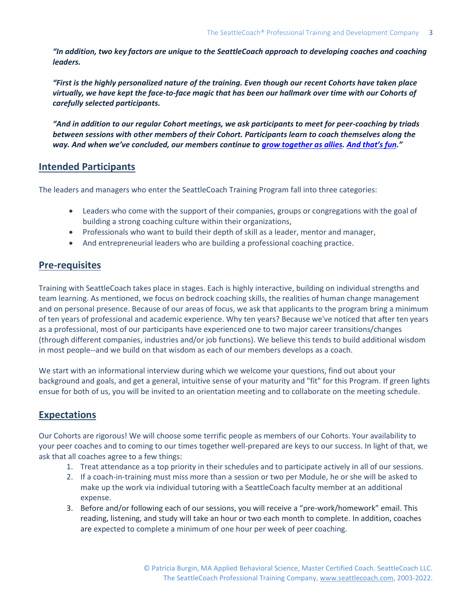*"In addition, two key factors are unique to the SeattleCoach approach to developing coaches and coaching leaders.*

*"First is the highly personalized nature of the training. Even though our recent Cohorts have taken place virtually, we have kept the face-to-face magic that has been our hallmark over time with our Cohorts of carefully selected participants.*

*"And in addition to our regular Cohort meetings, we ask participants to meet for peer-coaching by triads between sessions with other members of their Cohort. Participants learn to coach themselves along the way. And when we've concluded, our members continue to [grow together as allies.](http://www.seattlecoach.com/the-seattlecoach-network.html) [And that's fun.](https://www.seattlecoach.com/two-decades-of-fun.html)"*

#### **Intended Participants**

The leaders and managers who enter the SeattleCoach Training Program fall into three categories:

- Leaders who come with the support of their companies, groups or congregations with the goal of building a strong coaching culture within their organizations,
- Professionals who want to build their depth of skill as a leader, mentor and manager,
- And entrepreneurial leaders who are building a professional coaching practice.

#### **Pre-requisites**

Training with SeattleCoach takes place in stages. Each is highly interactive, building on individual strengths and team learning. As mentioned, we focus on bedrock coaching skills, the realities of human change management and on personal presence. Because of our areas of focus, we ask that applicants to the program bring a minimum of ten years of professional and academic experience. Why ten years? Because we've noticed that after ten years as a professional, most of our participants have experienced one to two major career transitions/changes (through different companies, industries and/or job functions). We believe this tends to build additional wisdom in most people--and we build on that wisdom as each of our members develops as a coach.

We start with an informational interview during which we welcome your questions, find out about your background and goals, and get a general, intuitive sense of your maturity and "fit" for this Program. If green lights ensue for both of us, you will be invited to an orientation meeting and to collaborate on the meeting schedule.

## **Expectations**

Our Cohorts are rigorous! We will choose some terrific people as members of our Cohorts. Your availability to your peer coaches and to coming to our times together well-prepared are keys to our success. In light of that, we ask that all coaches agree to a few things:

- 1. Treat attendance as a top priority in their schedules and to participate actively in all of our sessions.
- 2. If a coach-in-training must miss more than a session or two per Module, he or she will be asked to make up the work via individual tutoring with a SeattleCoach faculty member at an additional expense.
- 3. Before and/or following each of our sessions, you will receive a "pre-work/homework" email. This reading, listening, and study will take an hour or two each month to complete. In addition, coaches are expected to complete a minimum of one hour per week of peer coaching.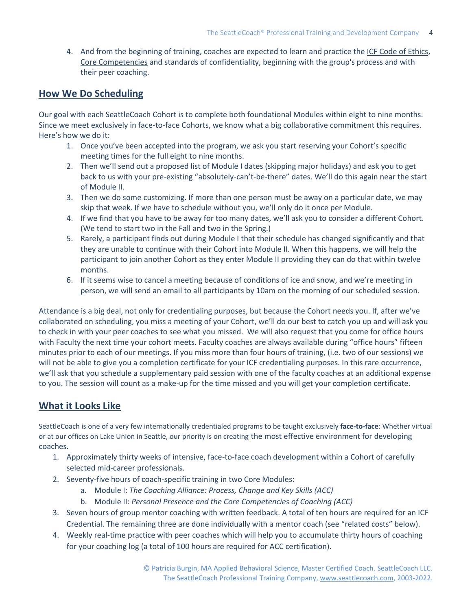4. And from the beginning of training, coaches are expected to learn and practice the [ICF Code of Ethics,](https://coachfederation.org/code-of-ethics) [Core Competencies](https://coachfederation.org/core-competencies) and standards of confidentiality, beginning with the group's process and with their peer coaching.

#### **How We Do Scheduling**

Our goal with each SeattleCoach Cohort is to complete both foundational Modules within eight to nine months. Since we meet exclusively in face-to-face Cohorts, we know what a big collaborative commitment this requires. Here's how we do it:

- 1. Once you've been accepted into the program, we ask you start reserving your Cohort's specific meeting times for the full eight to nine months.
- 2. Then we'll send out a proposed list of Module I dates (skipping major holidays) and ask you to get back to us with your pre-existing "absolutely-can't-be-there" dates. We'll do this again near the start of Module II.
- 3. Then we do some customizing. If more than one person must be away on a particular date, we may skip that week. If we have to schedule without you, we'll only do it once per Module.
- 4. If we find that you have to be away for too many dates, we'll ask you to consider a different Cohort. (We tend to start two in the Fall and two in the Spring.)
- 5. Rarely, a participant finds out during Module I that their schedule has changed significantly and that they are unable to continue with their Cohort into Module II. When this happens, we will help the participant to join another Cohort as they enter Module II providing they can do that within twelve months.
- 6. If it seems wise to cancel a meeting because of conditions of ice and snow, and we're meeting in person, we will send an email to all participants by 10am on the morning of our scheduled session.

Attendance is a big deal, not only for credentialing purposes, but because the Cohort needs you. If, after we've collaborated on scheduling, you miss a meeting of your Cohort, we'll do our best to catch you up and will ask you to check in with your peer coaches to see what you missed. We will also request that you come for office hours with Faculty the next time your cohort meets. Faculty coaches are always available during "office hours" fifteen minutes prior to each of our meetings. If you miss more than four hours of training, (i.e. two of our sessions) we will not be able to give you a completion certificate for your ICF credentialing purposes. In this rare occurrence, we'll ask that you schedule a supplementary paid session with one of the faculty coaches at an additional expense to you. The session will count as a make-up for the time missed and you will get your completion certificate.

#### **What it Looks Like**

SeattleCoach is one of a very few internationally credentialed programs to be taught exclusively **face-to-face**: Whether virtual or at our offices on Lake Union in Seattle, our priority is on creating the most effective environment for developing coaches.

- 1. Approximately thirty weeks of intensive, face-to-face coach development within a Cohort of carefully selected mid-career professionals.
- 2. Seventy-five hours of coach-specific training in two Core Modules:
	- a. Module I: *The Coaching Alliance: Process, Change and Key Skills (ACC)*
	- b. Module II: *Personal Presence and the Core Competencies of Coaching (ACC)*
- 3. Seven hours of group mentor coaching with written feedback. A total of ten hours are required for an ICF Credential. The remaining three are done individually with a mentor coach (see "related costs" below).
- 4. Weekly real-time practice with peer coaches which will help you to accumulate thirty hours of coaching for your coaching log (a total of 100 hours are required for ACC certification).